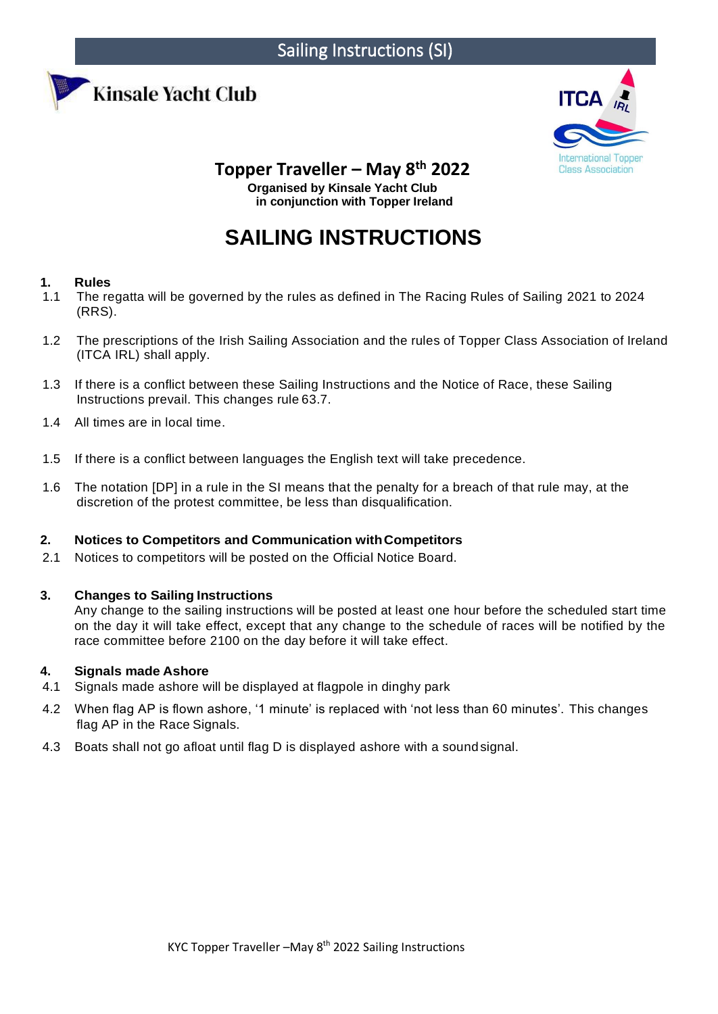



# **Topper Traveller – May 8th 2022**

**Organised by Kinsale Yacht Club in conjunction with Topper Ireland**

# **SAILING INSTRUCTIONS**

# **1. Rules**

- 1.1 The regatta will be governed by the rules as defined in The Racing Rules of Sailing 2021 to 2024 (RRS).
- 1.2 The prescriptions of the Irish Sailing Association and the rules of Topper Class Association of Ireland (ITCA IRL) shall apply.
- 1.3 If there is a conflict between these Sailing Instructions and the Notice of Race, these Sailing Instructions prevail. This changes rule 63.7.
- 1.4 All times are in local time.
- 1.5 If there is a conflict between languages the English text will take precedence.
- 1.6 The notation [DP] in a rule in the SI means that the penalty for a breach of that rule may, at the discretion of the protest committee, be less than disqualification.

# **2. Notices to Competitors and Communication withCompetitors**

2.1 Notices to competitors will be posted on the Official Notice Board.

# **3. Changes to Sailing Instructions**

Any change to the sailing instructions will be posted at least one hour before the scheduled start time on the day it will take effect, except that any change to the schedule of races will be notified by the race committee before 2100 on the day before it will take effect.

# **4. Signals made Ashore**

- 4.1 Signals made ashore will be displayed at flagpole in dinghy park
- 4.2 When flag AP is flown ashore, '1 minute' is replaced with 'not less than 60 minutes'. This changes flag AP in the Race Signals.
- 4.3 Boats shall not go afloat until flag D is displayed ashore with a sound signal.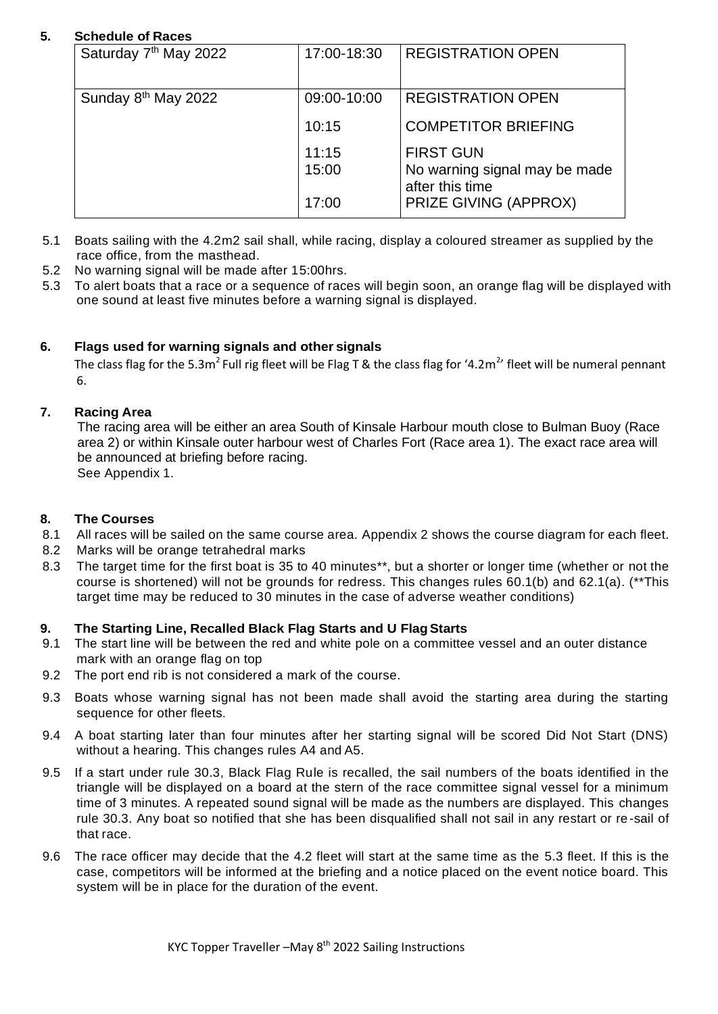# **5. Schedule of Races**

| Saturday 7 <sup>th</sup> May 2022 | 17:00-18:30 | <b>REGISTRATION OPEN</b>                         |
|-----------------------------------|-------------|--------------------------------------------------|
| Sunday 8 <sup>th</sup> May 2022   | 09:00-10:00 | <b>REGISTRATION OPEN</b>                         |
|                                   | 10:15       | <b>COMPETITOR BRIEFING</b>                       |
|                                   | 11:15       | <b>FIRST GUN</b>                                 |
|                                   | 15:00       | No warning signal may be made<br>after this time |
|                                   | 17:00       | PRIZE GIVING (APPROX)                            |

- 5.1 Boats sailing with the 4.2m2 sail shall, while racing, display a coloured streamer as supplied by the race office, from the masthead.
- 5.2 No warning signal will be made after 15:00hrs.
- 5.3 To alert boats that a race or a sequence of races will begin soon, an orange flag will be displayed with one sound at least five minutes before a warning signal is displayed.

# **6. Flags used for warning signals and other signals**

The class flag for the 5.3m<sup>2</sup> Full rig fleet will be Flag T & the class flag for '4.2m<sup>2</sup>' fleet will be numeral pennant 6.

# **7. Racing Area**

The racing area will be either an area South of Kinsale Harbour mouth close to Bulman Buoy (Race area 2) or within Kinsale outer harbour west of Charles Fort (Race area 1). The exact race area will be announced at briefing before racing. See Appendix 1.

# **8. The Courses**

- 8.1 All races will be sailed on the same course area. Appendix 2 shows the course diagram for each fleet.
- 8.2 Marks will be orange tetrahedral marks
- 8.3 The target time for the first boat is 35 to 40 minutes\*\*, but a shorter or longer time (whether or not the course is shortened) will not be grounds for redress. This changes rules 60.1(b) and 62.1(a). (\*\*This target time may be reduced to 30 minutes in the case of adverse weather conditions)

# **9. The Starting Line, Recalled Black Flag Starts and U FlagStarts**

- 9.1 The start line will be between the red and white pole on a committee vessel and an outer distance mark with an orange flag on top
- 9.2 The port end rib is not considered a mark of the course.
- 9.3 Boats whose warning signal has not been made shall avoid the starting area during the starting sequence for other fleets.
- 9.4 A boat starting later than four minutes after her starting signal will be scored Did Not Start (DNS) without a hearing. This changes rules A4 and A5.
- 9.5 If a start under rule 30.3, Black Flag Rule is recalled, the sail numbers of the boats identified in the triangle will be displayed on a board at the stern of the race committee signal vessel for a minimum time of 3 minutes. A repeated sound signal will be made as the numbers are displayed. This changes rule 30.3. Any boat so notified that she has been disqualified shall not sail in any restart or re -sail of that race.
- 9.6 The race officer may decide that the 4.2 fleet will start at the same time as the 5.3 fleet. If this is the case, competitors will be informed at the briefing and a notice placed on the event notice board. This system will be in place for the duration of the event.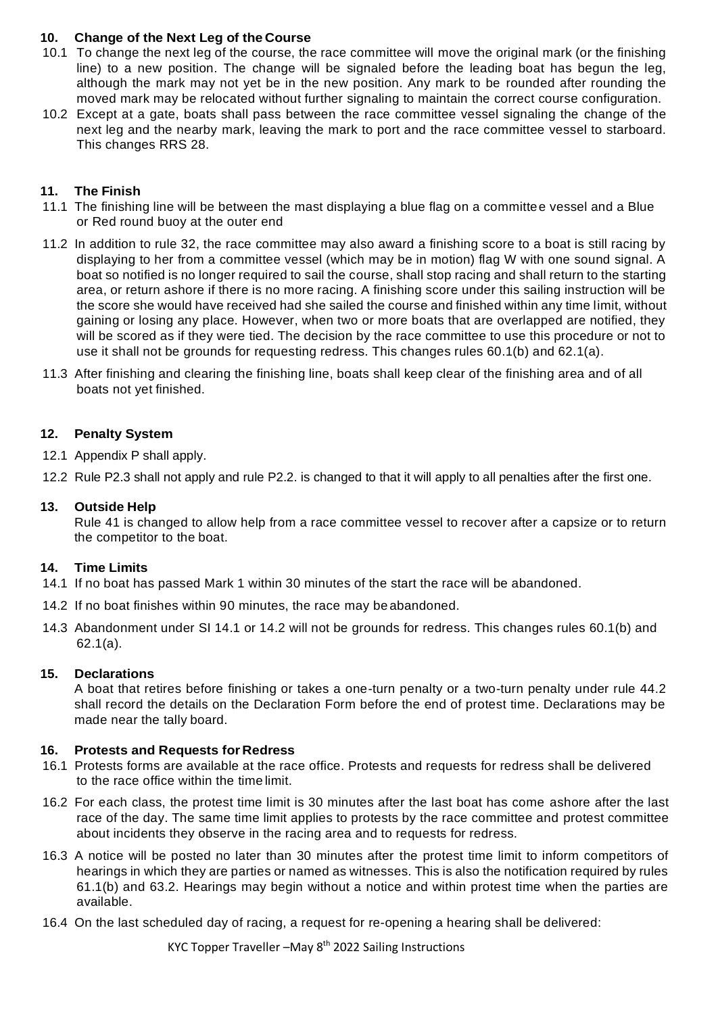# **10. Change of the Next Leg of the Course**

- 10.1 To change the next leg of the course, the race committee will move the original mark (or the finishing line) to a new position. The change will be signaled before the leading boat has begun the leg, although the mark may not yet be in the new position. Any mark to be rounded after rounding the moved mark may be relocated without further signaling to maintain the correct course configuration.
- 10.2 Except at a gate, boats shall pass between the race committee vessel signaling the change of the next leg and the nearby mark, leaving the mark to port and the race committee vessel to starboard. This changes RRS 28.

#### **11. The Finish**

- 11.1 The finishing line will be between the mast displaying a blue flag on a committee vessel and a Blue or Red round buoy at the outer end
- 11.2 In addition to rule 32, the race committee may also award a finishing score to a boat is still racing by displaying to her from a committee vessel (which may be in motion) flag W with one sound signal. A boat so notified is no longer required to sail the course, shall stop racing and shall return to the starting area, or return ashore if there is no more racing. A finishing score under this sailing instruction will be the score she would have received had she sailed the course and finished within any time limit, without gaining or losing any place. However, when two or more boats that are overlapped are notified, they will be scored as if they were tied. The decision by the race committee to use this procedure or not to use it shall not be grounds for requesting redress. This changes rules 60.1(b) and 62.1(a).
- 11.3 After finishing and clearing the finishing line, boats shall keep clear of the finishing area and of all boats not yet finished.

#### **12. Penalty System**

12.1 Appendix P shall apply.

12.2 Rule P2.3 shall not apply and rule P2.2. is changed to that it will apply to all penalties after the first one.

#### **13. Outside Help**

Rule 41 is changed to allow help from a race committee vessel to recover after a capsize or to return the competitor to the boat.

#### **14. Time Limits**

- 14.1 If no boat has passed Mark 1 within 30 minutes of the start the race will be abandoned.
- 14.2 If no boat finishes within 90 minutes, the race may be abandoned.
- 14.3 Abandonment under SI 14.1 or 14.2 will not be grounds for redress. This changes rules 60.1(b) and 62.1(a).

#### **15. Declarations**

A boat that retires before finishing or takes a one-turn penalty or a two-turn penalty under rule 44.2 shall record the details on the Declaration Form before the end of protest time. Declarations may be made near the tally board.

#### **16. Protests and Requests for Redress**

- 16.1 Protests forms are available at the race office. Protests and requests for redress shall be delivered to the race office within the time limit.
- 16.2 For each class, the protest time limit is 30 minutes after the last boat has come ashore after the last race of the day. The same time limit applies to protests by the race committee and protest committee about incidents they observe in the racing area and to requests for redress.
- 16.3 A notice will be posted no later than 30 minutes after the protest time limit to inform competitors of hearings in which they are parties or named as witnesses. This is also the notification required by rules 61.1(b) and 63.2. Hearings may begin without a notice and within protest time when the parties are available.
- 16.4 On the last scheduled day of racing, a request for re-opening a hearing shall be delivered: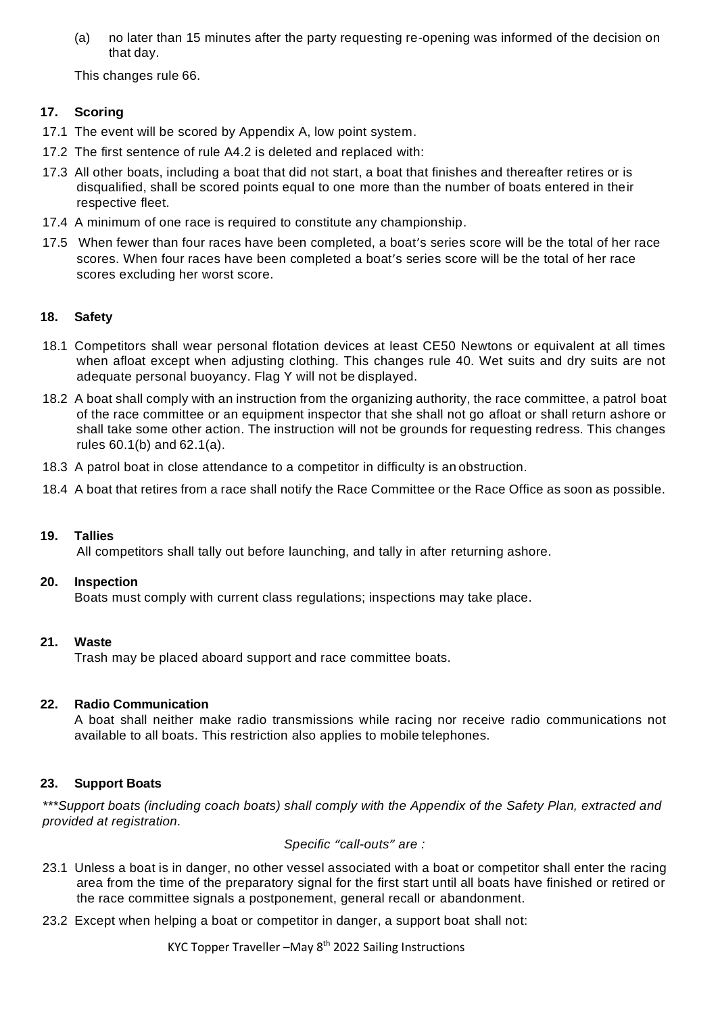(a) no later than 15 minutes after the party requesting re-opening was informed of the decision on that day.

This changes rule 66.

# **17. Scoring**

- 17.1 The event will be scored by Appendix A, low point system.
- 17.2 The first sentence of rule A4.2 is deleted and replaced with:
- 17.3 All other boats, including a boat that did not start, a boat that finishes and thereafter retires or is disqualified, shall be scored points equal to one more than the number of boats entered in their respective fleet.
- 17.4 A minimum of one race is required to constitute any championship.
- 17.5 When fewer than four races have been completed, a boat's series score will be the total of her race scores. When four races have been completed a boat's series score will be the total of her race scores excluding her worst score.

# **18. Safety**

- 18.1 Competitors shall wear personal flotation devices at least CE50 Newtons or equivalent at all times when afloat except when adjusting clothing. This changes rule 40. Wet suits and dry suits are not adequate personal buoyancy. Flag Y will not be displayed.
- 18.2 A boat shall comply with an instruction from the organizing authority, the race committee, a patrol boat of the race committee or an equipment inspector that she shall not go afloat or shall return ashore or shall take some other action. The instruction will not be grounds for requesting redress. This changes rules 60.1(b) and 62.1(a).
- 18.3 A patrol boat in close attendance to a competitor in difficulty is an obstruction.
- 18.4 A boat that retires from a race shall notify the Race Committee or the Race Office as soon as possible.

#### **19. Tallies**

All competitors shall tally out before launching, and tally in after returning ashore.

#### **20. Inspection**

Boats must comply with current class regulations; inspections may take place.

#### **21. Waste**

Trash may be placed aboard support and race committee boats.

#### **22. Radio Communication**

A boat shall neither make radio transmissions while racing nor receive radio communications not available to all boats. This restriction also applies to mobile telephones.

# **23. Support Boats**

*\*\*\*Support boats (including coach boats) shall comply with the Appendix of the Safety Plan, extracted and provided at registration.*

*Specific "call-outs" are :*

- 23.1 Unless a boat is in danger, no other vessel associated with a boat or competitor shall enter the racing area from the time of the preparatory signal for the first start until all boats have finished or retired or the race committee signals a postponement, general recall or abandonment.
- 23.2 Except when helping a boat or competitor in danger, a support boat shall not: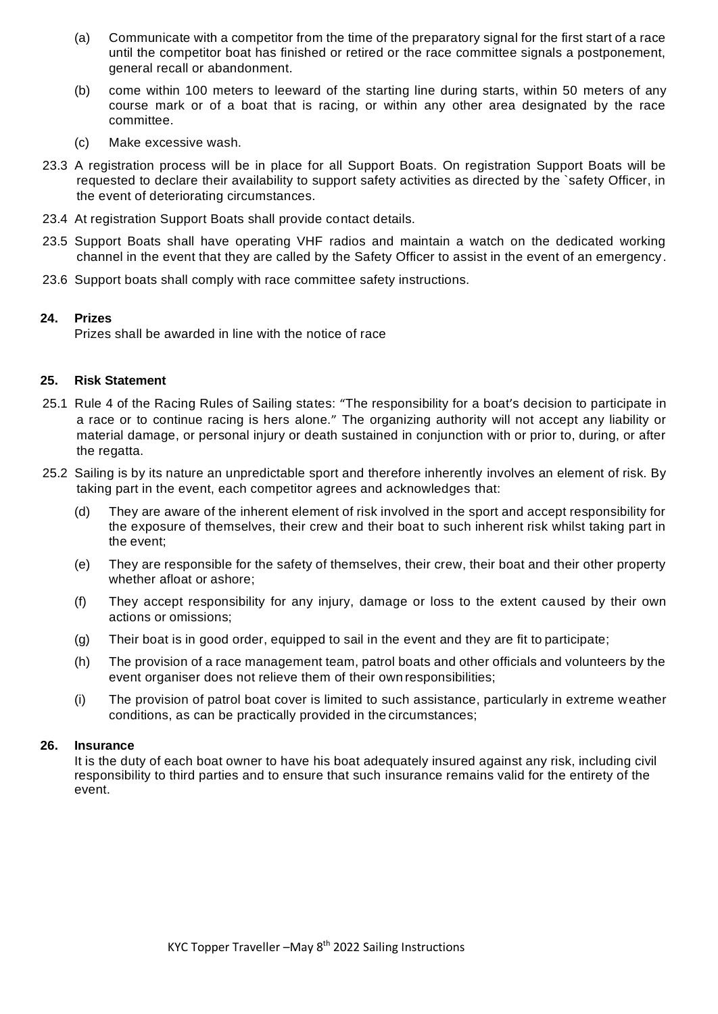- (a) Communicate with a competitor from the time of the preparatory signal for the first start of a race until the competitor boat has finished or retired or the race committee signals a postponement, general recall or abandonment.
- (b) come within 100 meters to leeward of the starting line during starts, within 50 meters of any course mark or of a boat that is racing, or within any other area designated by the race committee.
- (c) Make excessive wash.
- 23.3 A registration process will be in place for all Support Boats. On registration Support Boats will be requested to declare their availability to support safety activities as directed by the `safety Officer, in the event of deteriorating circumstances.
- 23.4 At registration Support Boats shall provide contact details.
- 23.5 Support Boats shall have operating VHF radios and maintain a watch on the dedicated working channel in the event that they are called by the Safety Officer to assist in the event of an emergency .
- 23.6 Support boats shall comply with race committee safety instructions.

#### **24. Prizes**

Prizes shall be awarded in line with the notice of race

#### **25. Risk Statement**

- 25.1 Rule 4 of the Racing Rules of Sailing states: "The responsibility for a boat's decision to participate in a race or to continue racing is hers alone." The organizing authority will not accept any liability or material damage, or personal injury or death sustained in conjunction with or prior to, during, or after the regatta.
- 25.2 Sailing is by its nature an unpredictable sport and therefore inherently involves an element of risk. By taking part in the event, each competitor agrees and acknowledges that:
	- (d) They are aware of the inherent element of risk involved in the sport and accept responsibility for the exposure of themselves, their crew and their boat to such inherent risk whilst taking part in the event;
	- (e) They are responsible for the safety of themselves, their crew, their boat and their other property whether afloat or ashore;
	- (f) They accept responsibility for any injury, damage or loss to the extent caused by their own actions or omissions;
	- (g) Their boat is in good order, equipped to sail in the event and they are fit to participate;
	- (h) The provision of a race management team, patrol boats and other officials and volunteers by the event organiser does not relieve them of their own responsibilities;
	- (i) The provision of patrol boat cover is limited to such assistance, particularly in extreme weather conditions, as can be practically provided in the circumstances;

#### **26. Insurance**

It is the duty of each boat owner to have his boat adequately insured against any risk, including civil responsibility to third parties and to ensure that such insurance remains valid for the entirety of the event.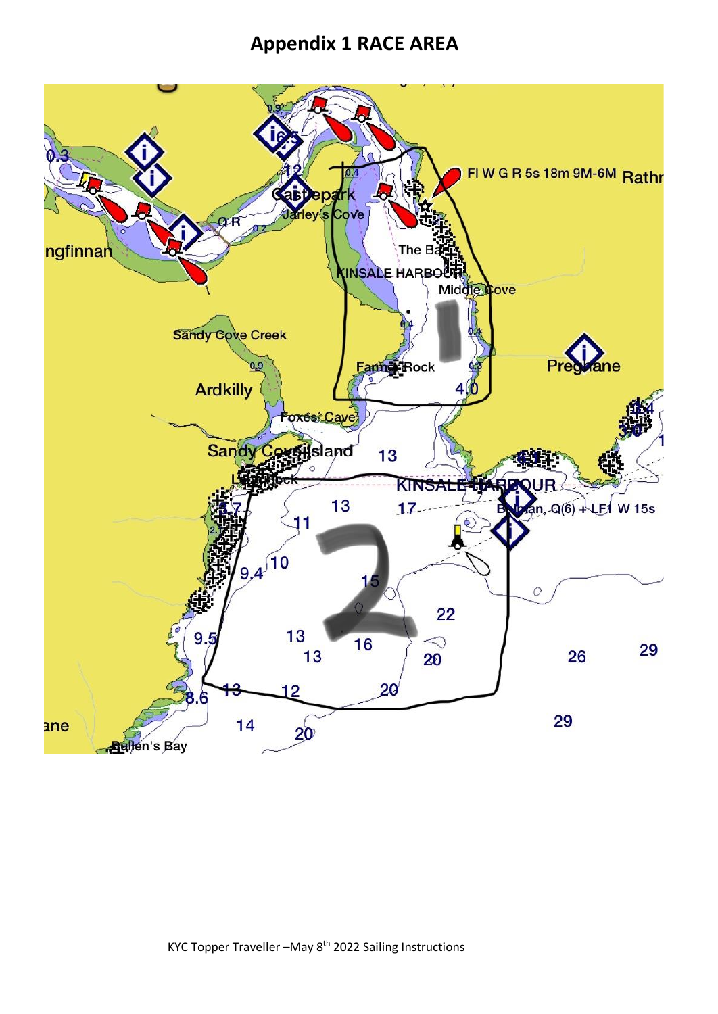# **Appendix 1 RACE AREA**

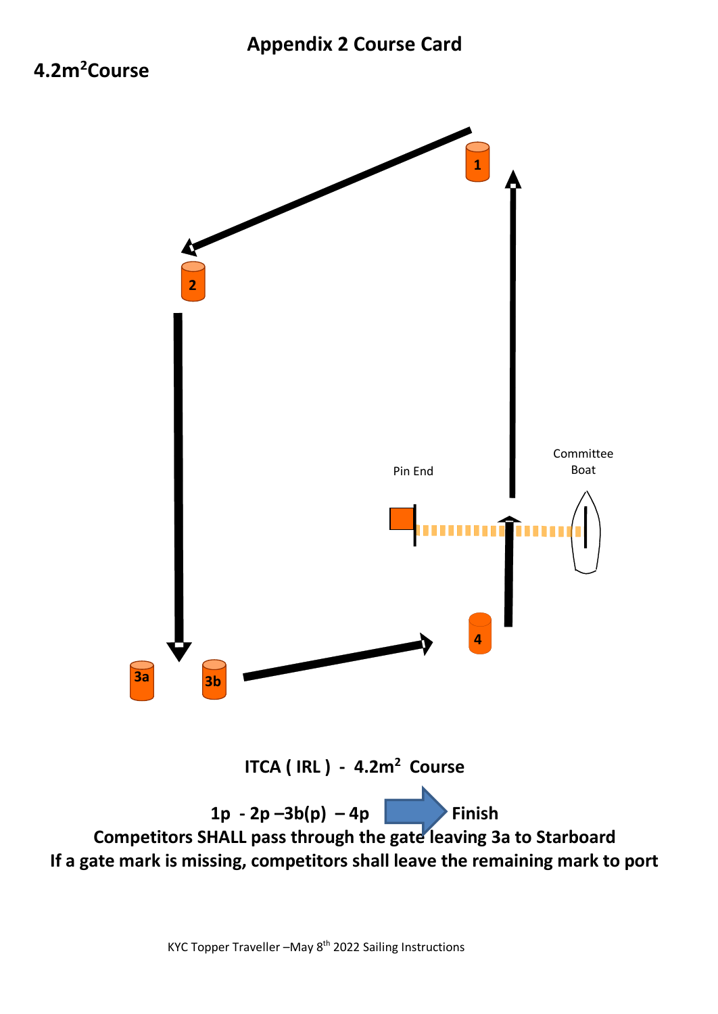# **4.2m<sup>2</sup>Course**



KYC Topper Traveller -May 8<sup>th</sup> 2022 Sailing Instructions